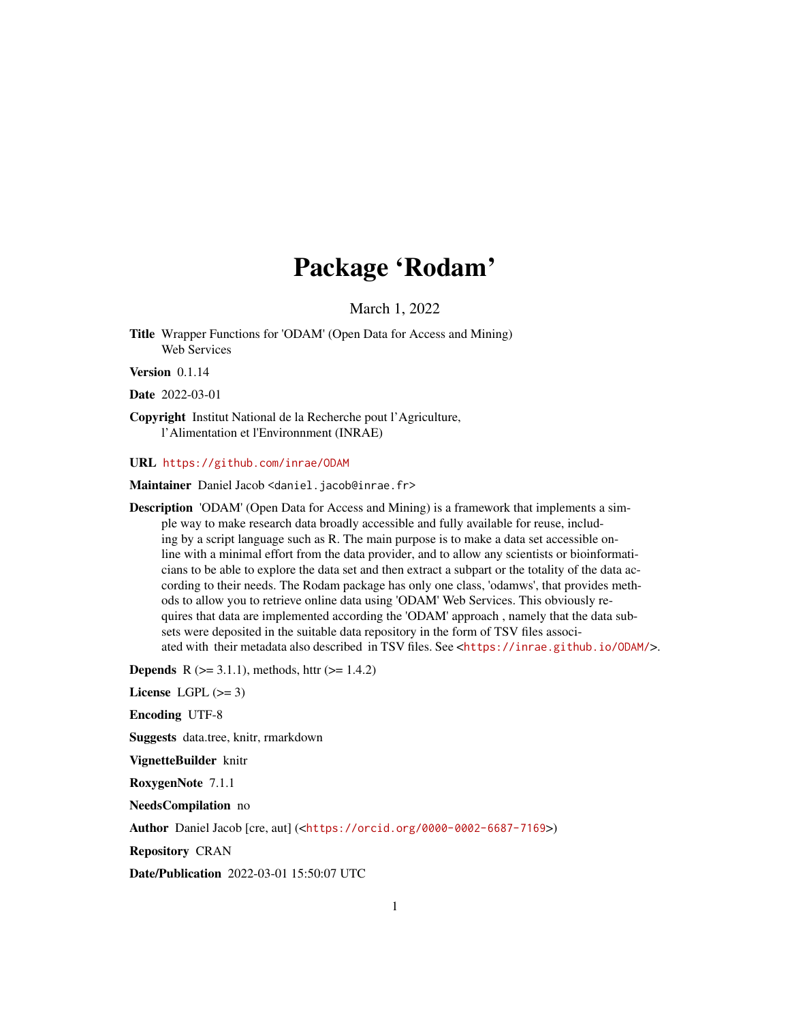## Package 'Rodam'

March 1, 2022

Title Wrapper Functions for 'ODAM' (Open Data for Access and Mining) Web Services

Version 0.1.14

Date 2022-03-01

Copyright Institut National de la Recherche pout l'Agriculture, l'Alimentation et l'Environnment (INRAE)

URL <https://github.com/inrae/ODAM>

Maintainer Daniel Jacob <daniel.jacob@inrae.fr>

Description 'ODAM' (Open Data for Access and Mining) is a framework that implements a simple way to make research data broadly accessible and fully available for reuse, including by a script language such as R. The main purpose is to make a data set accessible online with a minimal effort from the data provider, and to allow any scientists or bioinformaticians to be able to explore the data set and then extract a subpart or the totality of the data according to their needs. The Rodam package has only one class, 'odamws', that provides methods to allow you to retrieve online data using 'ODAM' Web Services. This obviously requires that data are implemented according the 'ODAM' approach , namely that the data subsets were deposited in the suitable data repository in the form of TSV files associated with their metadata also described in TSV files. See <<https://inrae.github.io/ODAM/>>.

**Depends** R  $(>= 3.1.1)$ , methods, httr  $(>= 1.4.2)$ 

License LGPL  $(>= 3)$ 

Encoding UTF-8

Suggests data.tree, knitr, rmarkdown

VignetteBuilder knitr

RoxygenNote 7.1.1

NeedsCompilation no

Author Daniel Jacob [cre, aut] (<<https://orcid.org/0000-0002-6687-7169>>)

Repository CRAN

Date/Publication 2022-03-01 15:50:07 UTC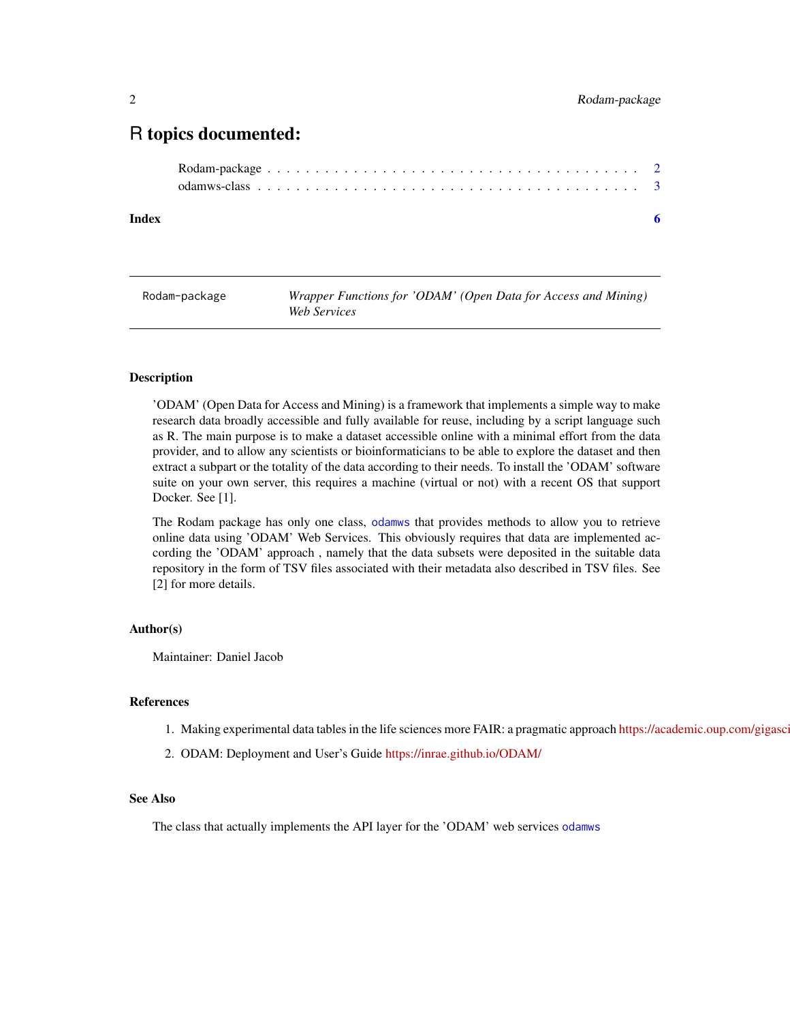### <span id="page-1-0"></span>R topics documented:

**Index** [6](#page-5-0) **6** 

Rodam-package *Wrapper Functions for 'ODAM' (Open Data for Access and Mining) Web Services*

#### Description

'ODAM' (Open Data for Access and Mining) is a framework that implements a simple way to make research data broadly accessible and fully available for reuse, including by a script language such as R. The main purpose is to make a dataset accessible online with a minimal effort from the data provider, and to allow any scientists or bioinformaticians to be able to explore the dataset and then extract a subpart or the totality of the data according to their needs. To install the 'ODAM' software suite on your own server, this requires a machine (virtual or not) with a recent OS that support Docker. See [1].

The Rodam package has only one class, [odamws](#page-2-1) that provides methods to allow you to retrieve online data using 'ODAM' Web Services. This obviously requires that data are implemented according the 'ODAM' approach , namely that the data subsets were deposited in the suitable data repository in the form of TSV files associated with their metadata also described in TSV files. See [2] for more details.

#### Author(s)

Maintainer: Daniel Jacob

#### References

- 1. Making experimental data tables in the life sciences more FAIR: a pragmatic approach https://academic.oup.com/gigasc
- 2. ODAM: Deployment and User's Guide <https://inrae.github.io/ODAM/>

#### See Also

The class that actually implements the API layer for the 'ODAM' web services [odamws](#page-2-1)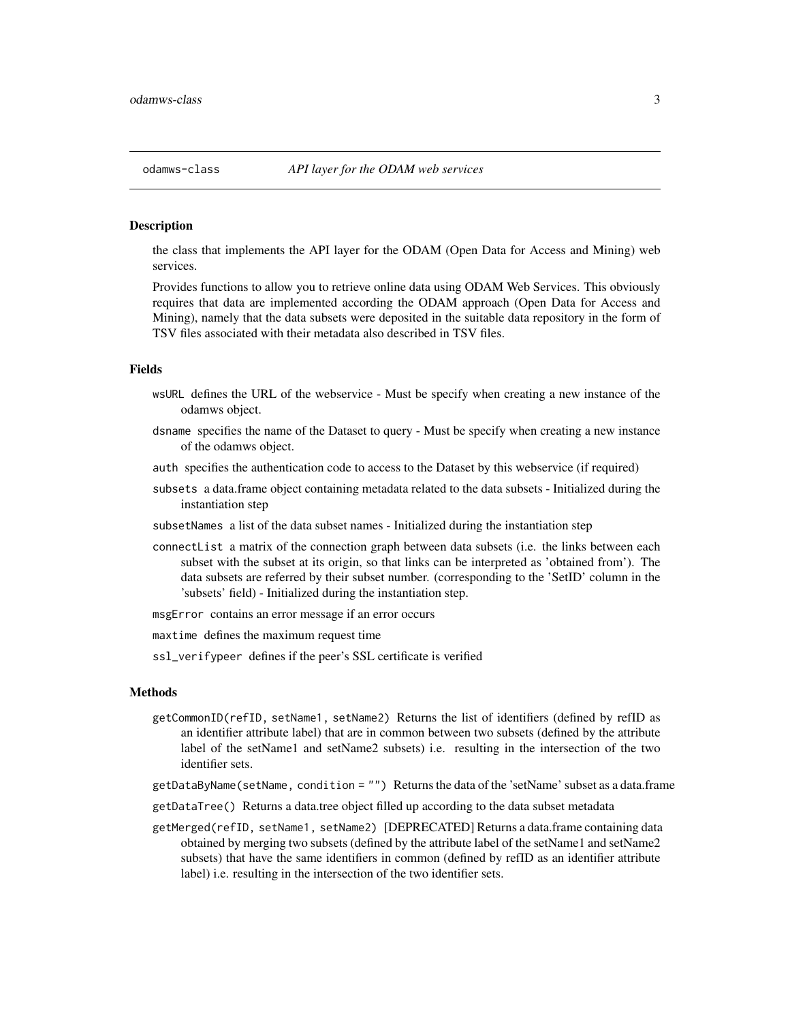#### <span id="page-2-1"></span>Description

the class that implements the API layer for the ODAM (Open Data for Access and Mining) web services.

Provides functions to allow you to retrieve online data using ODAM Web Services. This obviously requires that data are implemented according the ODAM approach (Open Data for Access and Mining), namely that the data subsets were deposited in the suitable data repository in the form of TSV files associated with their metadata also described in TSV files.

#### Fields

- wsURL defines the URL of the webservice Must be specify when creating a new instance of the odamws object.
- dsname specifies the name of the Dataset to query Must be specify when creating a new instance of the odamws object.
- auth specifies the authentication code to access to the Dataset by this webservice (if required)
- subsets a data.frame object containing metadata related to the data subsets Initialized during the instantiation step
- subsetNames a list of the data subset names Initialized during the instantiation step
- connectList a matrix of the connection graph between data subsets (i.e. the links between each subset with the subset at its origin, so that links can be interpreted as 'obtained from'). The data subsets are referred by their subset number. (corresponding to the 'SetID' column in the 'subsets' field) - Initialized during the instantiation step.
- msgError contains an error message if an error occurs
- maxtime defines the maximum request time
- ssl\_verifypeer defines if the peer's SSL certificate is verified

#### **Methods**

- getCommonID(refID, setName1, setName2) Returns the list of identifiers (defined by refID as an identifier attribute label) that are in common between two subsets (defined by the attribute label of the setName1 and setName2 subsets) i.e. resulting in the intersection of the two identifier sets.
- getDataByName(setName, condition = "") Returns the data of the 'setName' subset as a data.frame
- getDataTree() Returns a data.tree object filled up according to the data subset metadata
- getMerged(refID, setName1, setName2) [DEPRECATED] Returns a data.frame containing data obtained by merging two subsets (defined by the attribute label of the setName1 and setName2 subsets) that have the same identifiers in common (defined by refID as an identifier attribute label) i.e. resulting in the intersection of the two identifier sets.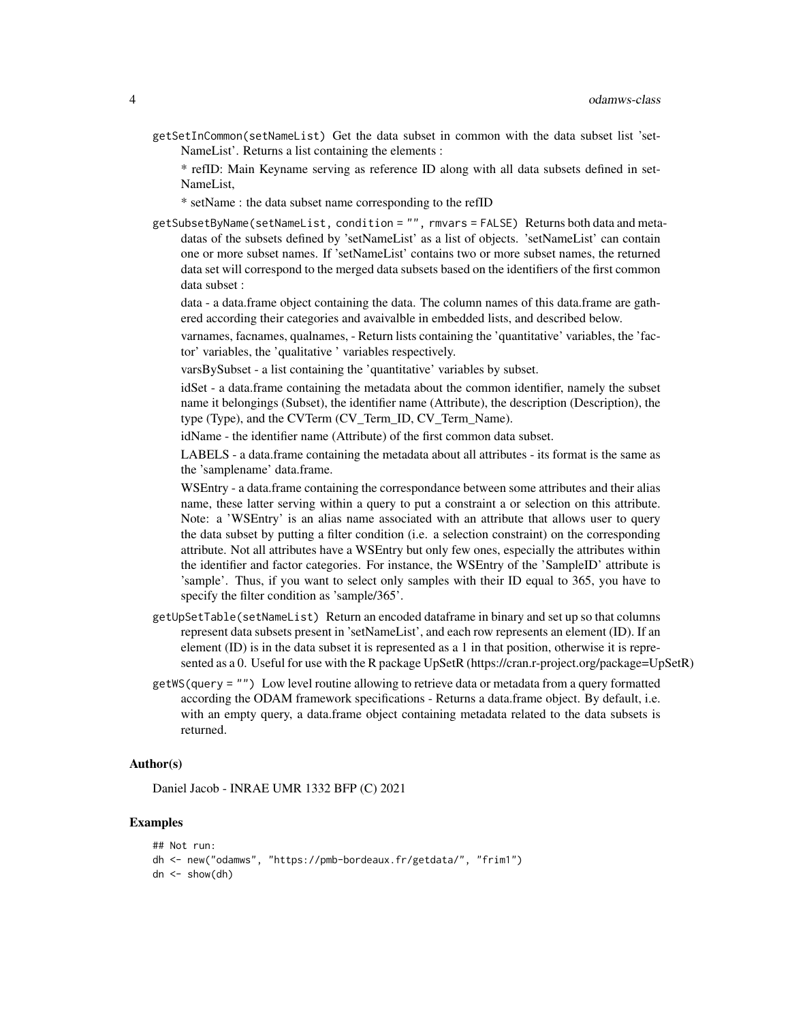getSetInCommon(setNameList) Get the data subset in common with the data subset list 'set-NameList'. Returns a list containing the elements :

\* refID: Main Keyname serving as reference ID along with all data subsets defined in set-NameList,

\* setName : the data subset name corresponding to the refID

getSubsetByName(setNameList, condition = "", rmvars = FALSE) Returns both data and metadatas of the subsets defined by 'setNameList' as a list of objects. 'setNameList' can contain one or more subset names. If 'setNameList' contains two or more subset names, the returned data set will correspond to the merged data subsets based on the identifiers of the first common data subset :

data - a data.frame object containing the data. The column names of this data.frame are gathered according their categories and avaivalble in embedded lists, and described below.

varnames, facnames, qualnames, - Return lists containing the 'quantitative' variables, the 'factor' variables, the 'qualitative ' variables respectively.

varsBySubset - a list containing the 'quantitative' variables by subset.

idSet - a data.frame containing the metadata about the common identifier, namely the subset name it belongings (Subset), the identifier name (Attribute), the description (Description), the type (Type), and the CVTerm (CV\_Term\_ID, CV\_Term\_Name).

idName - the identifier name (Attribute) of the first common data subset.

LABELS - a data.frame containing the metadata about all attributes - its format is the same as the 'samplename' data.frame.

WSEntry - a data.frame containing the correspondance between some attributes and their alias name, these latter serving within a query to put a constraint a or selection on this attribute. Note: a 'WSEntry' is an alias name associated with an attribute that allows user to query the data subset by putting a filter condition (i.e. a selection constraint) on the corresponding attribute. Not all attributes have a WSEntry but only few ones, especially the attributes within the identifier and factor categories. For instance, the WSEntry of the 'SampleID' attribute is 'sample'. Thus, if you want to select only samples with their ID equal to 365, you have to specify the filter condition as 'sample/365'.

- getUpSetTable(setNameList) Return an encoded dataframe in binary and set up so that columns represent data subsets present in 'setNameList', and each row represents an element (ID). If an element (ID) is in the data subset it is represented as a 1 in that position, otherwise it is represented as a 0. Useful for use with the R package UpSetR (https://cran.r-project.org/package=UpSetR)
- getWS(query = "") Low level routine allowing to retrieve data or metadata from a query formatted according the ODAM framework specifications - Returns a data.frame object. By default, i.e. with an empty query, a data.frame object containing metadata related to the data subsets is returned.

#### Author(s)

Daniel Jacob - INRAE UMR 1332 BFP (C) 2021

#### Examples

```
## Not run:
dh <- new("odamws", "https://pmb-bordeaux.fr/getdata/", "frim1")
dn \leq -show(dh)
```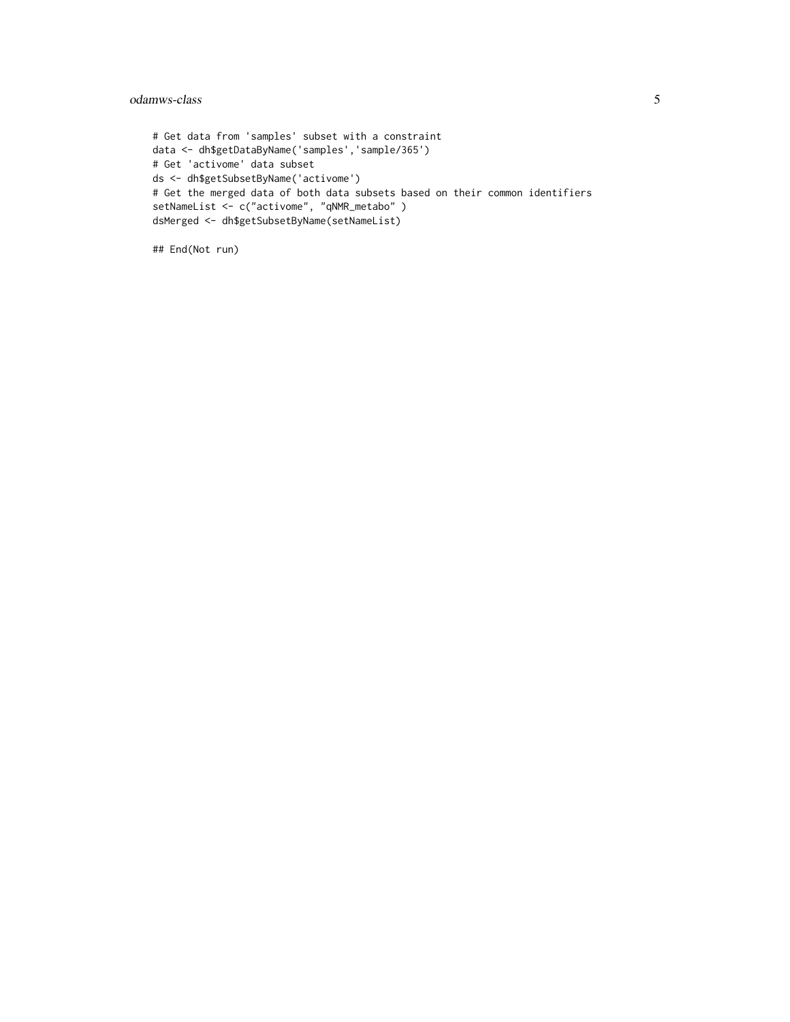#### odamws-class 5

# Get data from 'samples' subset with a constraint data <- dh\$getDataByName('samples','sample/365') # Get 'activome' data subset ds <- dh\$getSubsetByName('activome') # Get the merged data of both data subsets based on their common identifiers setNameList <- c("activome", "qNMR\_metabo" ) dsMerged <- dh\$getSubsetByName(setNameList)

## End(Not run)